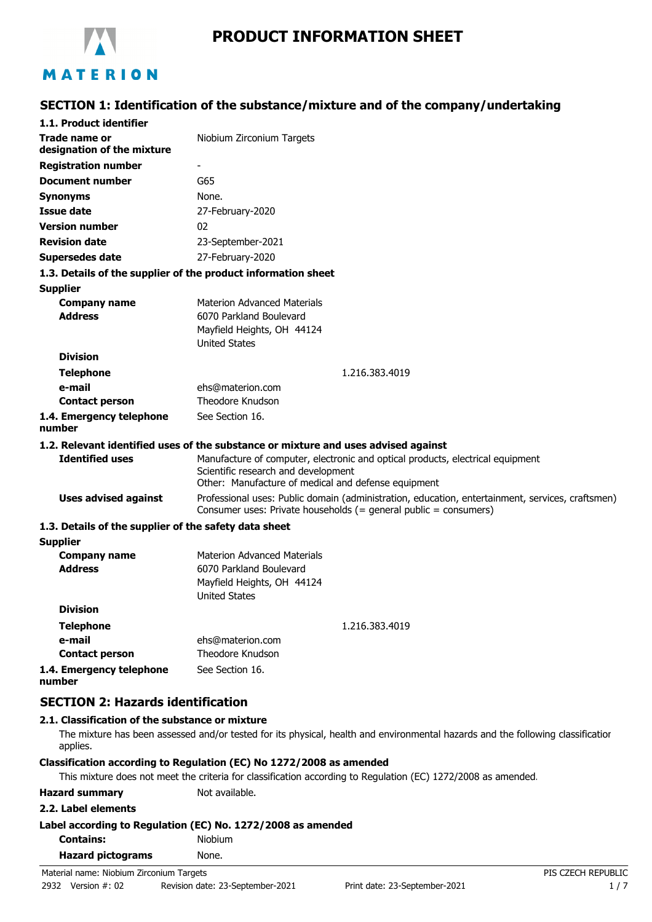

# **PRODUCT INFORMATION SHEET**

# **SECTION 1: Identification of the substance/mixture and of the company/undertaking**

| 1.1. Product identifier                                       |                                                                                                                                                                              |
|---------------------------------------------------------------|------------------------------------------------------------------------------------------------------------------------------------------------------------------------------|
| Trade name or<br>designation of the mixture                   | Niobium Zirconium Targets                                                                                                                                                    |
| <b>Registration number</b>                                    |                                                                                                                                                                              |
| <b>Document number</b>                                        | G65                                                                                                                                                                          |
| <b>Synonyms</b>                                               | None.                                                                                                                                                                        |
| <b>Issue date</b>                                             | 27-February-2020                                                                                                                                                             |
| <b>Version number</b>                                         | 02                                                                                                                                                                           |
| <b>Revision date</b>                                          | 23-September-2021                                                                                                                                                            |
| <b>Supersedes date</b>                                        | 27-February-2020                                                                                                                                                             |
| 1.3. Details of the supplier of the product information sheet |                                                                                                                                                                              |
| <b>Supplier</b>                                               |                                                                                                                                                                              |
| <b>Company name</b>                                           | <b>Materion Advanced Materials</b>                                                                                                                                           |
| <b>Address</b>                                                | 6070 Parkland Boulevard                                                                                                                                                      |
|                                                               | Mayfield Heights, OH 44124                                                                                                                                                   |
|                                                               | <b>United States</b>                                                                                                                                                         |
| <b>Division</b>                                               |                                                                                                                                                                              |
| <b>Telephone</b>                                              | 1.216.383.4019                                                                                                                                                               |
| e-mail                                                        | ehs@materion.com                                                                                                                                                             |
| <b>Contact person</b>                                         | Theodore Knudson                                                                                                                                                             |
| 1.4. Emergency telephone<br>number                            | See Section 16.                                                                                                                                                              |
|                                                               | 1.2. Relevant identified uses of the substance or mixture and uses advised against                                                                                           |
| <b>Identified uses</b>                                        | Manufacture of computer, electronic and optical products, electrical equipment<br>Scientific research and development<br>Other: Manufacture of medical and defense equipment |
| <b>Uses advised against</b>                                   | Professional uses: Public domain (administration, education, entertainment, services, craftsmen)<br>Consumer uses: Private households (= general public = consumers)         |
| 1.3. Details of the supplier of the safety data sheet         |                                                                                                                                                                              |
| <b>Supplier</b>                                               |                                                                                                                                                                              |
| <b>Company name</b>                                           | <b>Materion Advanced Materials</b>                                                                                                                                           |
| <b>Address</b>                                                | 6070 Parkland Boulevard                                                                                                                                                      |
|                                                               | Mayfield Heights, OH 44124                                                                                                                                                   |
|                                                               | <b>United States</b>                                                                                                                                                         |
| <b>Division</b>                                               |                                                                                                                                                                              |
| <b>Telephone</b>                                              | 1.216.383.4019                                                                                                                                                               |
| e-mail                                                        | ehs@materion.com                                                                                                                                                             |
| <b>Contact person</b>                                         | Theodore Knudson                                                                                                                                                             |
| 1.4. Emergency telephone<br>number                            | See Section 16.                                                                                                                                                              |
| <b>SECTION 2: Hazards identification</b>                      |                                                                                                                                                                              |
| 2.1. Classification of the substance or mixture               |                                                                                                                                                                              |

The mixture has been assessed and/or tested for its physical, health and environmental hazards and the following classification applies.

### **Classification according to Regulation (EC) No 1272/2008 as amended**

This mixture does not meet the criteria for classification according to Regulation (EC) 1272/2008 as amended.

**Hazard summary** Not available.

#### **2.2. Label elements**

|  |  |  | Label according to Regulation (EC) No. 1272/2008 as amended |
|--|--|--|-------------------------------------------------------------|
|--|--|--|-------------------------------------------------------------|

| <b>Contains:</b> |  | <b>Niobium</b> |
|------------------|--|----------------|
|                  |  |                |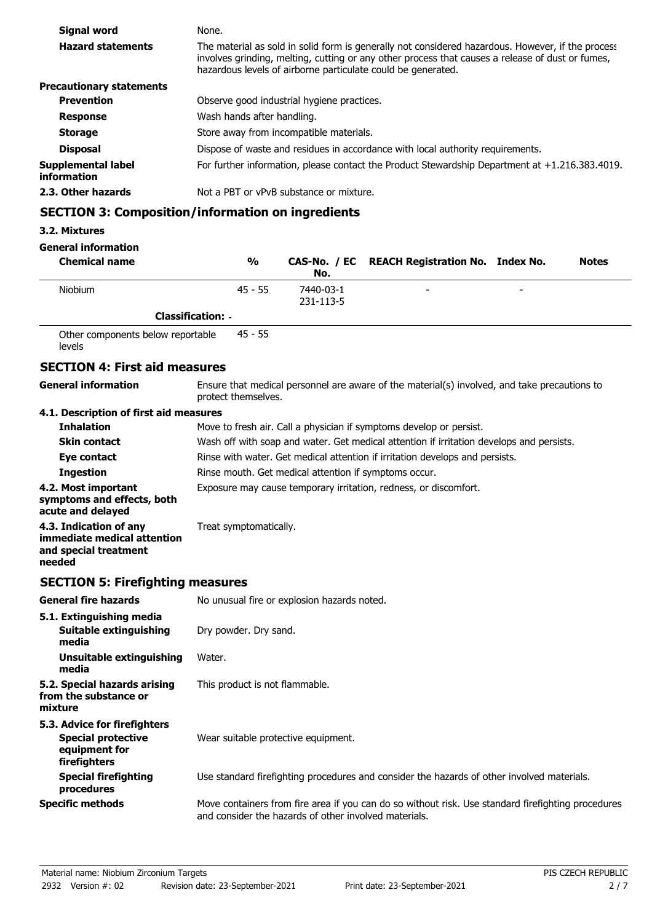| Signal word                       | None.                                                                                                                                                                                                                                                                 |
|-----------------------------------|-----------------------------------------------------------------------------------------------------------------------------------------------------------------------------------------------------------------------------------------------------------------------|
| <b>Hazard statements</b>          | The material as sold in solid form is generally not considered hazardous. However, if the process<br>involves grinding, melting, cutting or any other process that causes a release of dust or fumes,<br>hazardous levels of airborne particulate could be generated. |
| <b>Precautionary statements</b>   |                                                                                                                                                                                                                                                                       |
| <b>Prevention</b>                 | Observe good industrial hygiene practices.                                                                                                                                                                                                                            |
| <b>Response</b>                   | Wash hands after handling.                                                                                                                                                                                                                                            |
| <b>Storage</b>                    | Store away from incompatible materials.                                                                                                                                                                                                                               |
| <b>Disposal</b>                   | Dispose of waste and residues in accordance with local authority requirements.                                                                                                                                                                                        |
| Supplemental label<br>information | For further information, please contact the Product Stewardship Department at $+1.216.383.4019$ .                                                                                                                                                                     |
| 2.3. Other hazards                | Not a PBT or vPvB substance or mixture.                                                                                                                                                                                                                               |

# **SECTION 3: Composition/information on ingredients**

#### **3.2. Mixtures**

**General information**

| <b>Chemical name</b> | $\frac{0}{0}$            | No.                    | CAS-No. / EC REACH Registration No. Index No. |   | <b>Notes</b> |
|----------------------|--------------------------|------------------------|-----------------------------------------------|---|--------------|
| <b>Niobium</b>       | $45 - 55$                | 7440-03-1<br>231-113-5 | -                                             | - |              |
|                      | <b>Classification: -</b> |                        |                                               |   |              |

Other components below reportable levels 45 - 55

## **SECTION 4: First aid measures**

**General information**

Ensure that medical personnel are aware of the material(s) involved, and take precautions to protect themselves.

### **4.1. Description of first aid measures**

| <b>Inhalation</b>                                                                        | Move to fresh air. Call a physician if symptoms develop or persist.                      |
|------------------------------------------------------------------------------------------|------------------------------------------------------------------------------------------|
| <b>Skin contact</b>                                                                      | Wash off with soap and water. Get medical attention if irritation develops and persists. |
| Eye contact                                                                              | Rinse with water. Get medical attention if irritation develops and persists.             |
| <b>Ingestion</b>                                                                         | Rinse mouth. Get medical attention if symptoms occur.                                    |
| 4.2. Most important<br>symptoms and effects, both<br>acute and delayed                   | Exposure may cause temporary irritation, redness, or discomfort.                         |
| 4.3. Indication of any<br>immediate medical attention<br>and special treatment<br>needed | Treat symptomatically.                                                                   |

# **SECTION 5: Firefighting measures**

| <b>General fire hazards</b>                                                                | No unusual fire or explosion hazards noted.                                                                                                                 |
|--------------------------------------------------------------------------------------------|-------------------------------------------------------------------------------------------------------------------------------------------------------------|
| 5.1. Extinguishing media<br>Suitable extinguishing<br>media                                | Dry powder. Dry sand.                                                                                                                                       |
| Unsuitable extinguishing<br>media                                                          | Water.                                                                                                                                                      |
| 5.2. Special hazards arising<br>from the substance or<br>mixture                           | This product is not flammable.                                                                                                                              |
| 5.3. Advice for firefighters<br><b>Special protective</b><br>equipment for<br>firefighters | Wear suitable protective equipment.                                                                                                                         |
| <b>Special firefighting</b><br>procedures                                                  | Use standard firefighting procedures and consider the hazards of other involved materials.                                                                  |
| <b>Specific methods</b>                                                                    | Move containers from fire area if you can do so without risk. Use standard firefighting procedures<br>and consider the hazards of other involved materials. |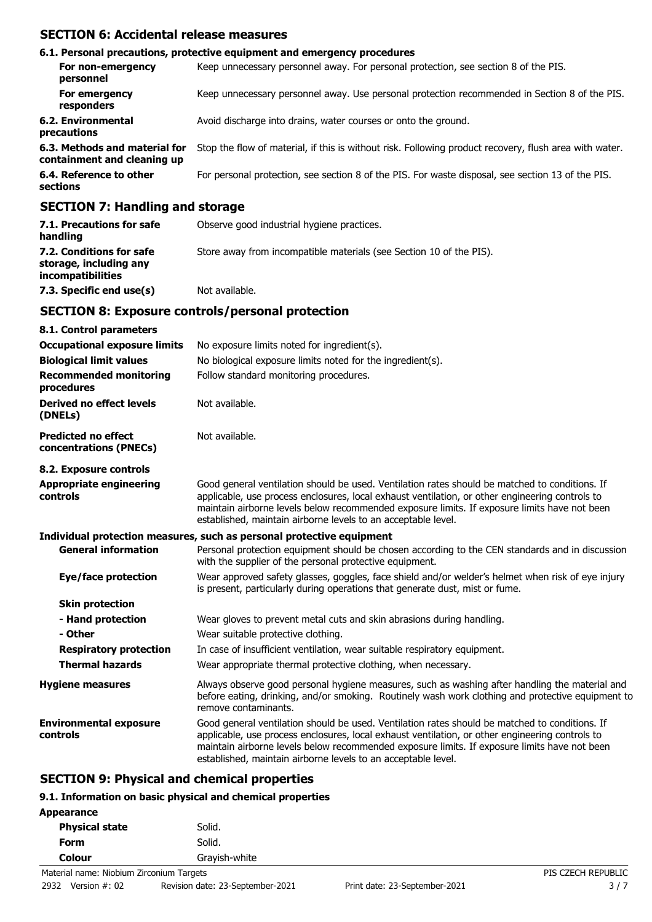### **SECTION 6: Accidental release measures**

|                                                                   | 6.1. Personal precautions, protective equipment and emergency procedures                               |
|-------------------------------------------------------------------|--------------------------------------------------------------------------------------------------------|
| For non-emergency<br>personnel                                    | Keep unnecessary personnel away. For personal protection, see section 8 of the PIS.                    |
| For emergency<br>responders                                       | Keep unnecessary personnel away. Use personal protection recommended in Section 8 of the PIS.          |
| 6.2. Environmental<br>precautions                                 | Avoid discharge into drains, water courses or onto the ground.                                         |
| 6.3. Methods and material for<br>containment and cleaning up      | Stop the flow of material, if this is without risk. Following product recovery, flush area with water. |
| 6.4. Reference to other<br>sections                               | For personal protection, see section 8 of the PIS. For waste disposal, see section 13 of the PIS.      |
| $CFATTAH$ , $H_{\text{max}}$ , $H_{\text{max}}$ , $A$ , $A$ , $A$ |                                                                                                        |

### **SECTION 7: Handling and storage**

| 7.1. Precautions for safe<br>handling                                          | Observe good industrial hygiene practices.                          |
|--------------------------------------------------------------------------------|---------------------------------------------------------------------|
| 7.2. Conditions for safe<br>storage, including any<br><i>incompatibilities</i> | Store away from incompatible materials (see Section 10 of the PIS). |
| 7.3. Specific end use(s)                                                       | Not available.                                                      |

### **SECTION 8: Exposure controls/personal protection**

| 8.1. Control parameters                              |                                                                                                                                                                                                                                                                                                                                                                    |
|------------------------------------------------------|--------------------------------------------------------------------------------------------------------------------------------------------------------------------------------------------------------------------------------------------------------------------------------------------------------------------------------------------------------------------|
| <b>Occupational exposure limits</b>                  | No exposure limits noted for ingredient(s).                                                                                                                                                                                                                                                                                                                        |
| <b>Biological limit values</b>                       | No biological exposure limits noted for the ingredient(s).                                                                                                                                                                                                                                                                                                         |
| <b>Recommended monitoring</b><br>procedures          | Follow standard monitoring procedures.                                                                                                                                                                                                                                                                                                                             |
| Derived no effect levels<br>(DNELs)                  | Not available.                                                                                                                                                                                                                                                                                                                                                     |
| <b>Predicted no effect</b><br>concentrations (PNECs) | Not available.                                                                                                                                                                                                                                                                                                                                                     |
| 8.2. Exposure controls                               |                                                                                                                                                                                                                                                                                                                                                                    |
| <b>Appropriate engineering</b><br>controls           | Good general ventilation should be used. Ventilation rates should be matched to conditions. If<br>applicable, use process enclosures, local exhaust ventilation, or other engineering controls to<br>maintain airborne levels below recommended exposure limits. If exposure limits have not been<br>established, maintain airborne levels to an acceptable level. |
|                                                      | Individual protection measures, such as personal protective equipment                                                                                                                                                                                                                                                                                              |
| <b>General information</b>                           | Personal protection equipment should be chosen according to the CEN standards and in discussion<br>with the supplier of the personal protective equipment.                                                                                                                                                                                                         |
| <b>Eye/face protection</b>                           | Wear approved safety glasses, goggles, face shield and/or welder's helmet when risk of eye injury<br>is present, particularly during operations that generate dust, mist or fume.                                                                                                                                                                                  |
| <b>Skin protection</b>                               |                                                                                                                                                                                                                                                                                                                                                                    |
| - Hand protection                                    | Wear gloves to prevent metal cuts and skin abrasions during handling.                                                                                                                                                                                                                                                                                              |
| - Other                                              | Wear suitable protective clothing.                                                                                                                                                                                                                                                                                                                                 |
| <b>Respiratory protection</b>                        | In case of insufficient ventilation, wear suitable respiratory equipment.                                                                                                                                                                                                                                                                                          |
| <b>Thermal hazards</b>                               | Wear appropriate thermal protective clothing, when necessary.                                                                                                                                                                                                                                                                                                      |
| <b>Hygiene measures</b>                              | Always observe good personal hygiene measures, such as washing after handling the material and<br>before eating, drinking, and/or smoking. Routinely wash work clothing and protective equipment to<br>remove contaminants.                                                                                                                                        |
| <b>Environmental exposure</b><br>controls            | Good general ventilation should be used. Ventilation rates should be matched to conditions. If<br>applicable, use process enclosures, local exhaust ventilation, or other engineering controls to<br>maintain airborne levels below recommended exposure limits. If exposure limits have not been<br>established, maintain airborne levels to an acceptable level. |

### **SECTION 9: Physical and chemical properties**

### **9.1. Information on basic physical and chemical properties**

| Appearance            |               |
|-----------------------|---------------|
| <b>Physical state</b> | Solid.        |
| Form                  | Solid.        |
| Colour                | Grayish-white |
|                       |               |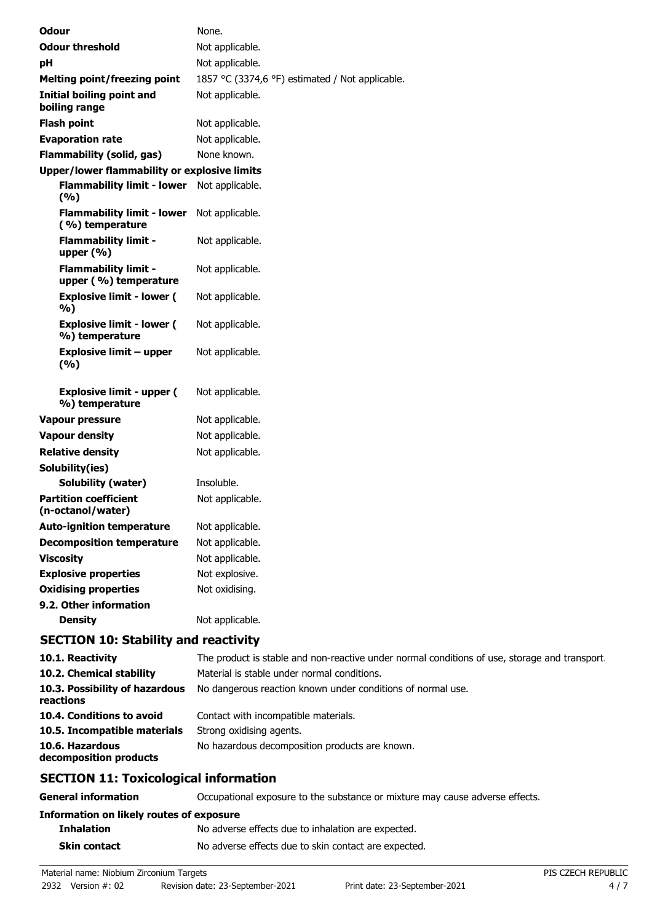| <b>Odour</b>                                         | None.                                                    |
|------------------------------------------------------|----------------------------------------------------------|
| <b>Odour threshold</b>                               | Not applicable.                                          |
| pH                                                   | Not applicable.                                          |
| <b>Melting point/freezing point</b>                  | 1857 °C (3374,6 °F) estimated / Not applicable.          |
| <b>Initial boiling point and</b><br>boiling range    | Not applicable.                                          |
| <b>Flash point</b>                                   | Not applicable.                                          |
| <b>Evaporation rate</b>                              | Not applicable.                                          |
| <b>Flammability (solid, gas)</b>                     | None known.                                              |
| <b>Upper/lower flammability or explosive limits</b>  |                                                          |
| Flammability limit - lower Not applicable.<br>(%)    |                                                          |
| <b>Flammability limit - lower</b><br>(%) temperature | Not applicable.                                          |
| <b>Flammability limit -</b><br>upper (%)             | Not applicable.                                          |
| <b>Flammability limit -</b><br>upper (%) temperature | Not applicable.                                          |
| <b>Explosive limit - lower (</b><br>%)               | Not applicable.                                          |
| <b>Explosive limit - lower (</b><br>%) temperature   | Not applicable.                                          |
| <b>Explosive limit - upper</b><br>(%)                | Not applicable.                                          |
| <b>Explosive limit - upper (</b><br>%) temperature   | Not applicable.                                          |
| <b>Vapour pressure</b>                               | Not applicable.                                          |
| <b>Vapour density</b>                                | Not applicable.                                          |
| <b>Relative density</b>                              | Not applicable.                                          |
| Solubility(ies)                                      |                                                          |
| Solubility (water)                                   | Insoluble.                                               |
| <b>Partition coefficient</b><br>(n-octanol/water)    | Not applicable.                                          |
| <b>Auto-ignition temperature</b>                     | Not applicable.                                          |
| <b>Decomposition temperature</b>                     | Not applicable.                                          |
| <b>Viscosity</b>                                     | Not applicable.                                          |
| <b>Explosive properties</b>                          | Not explosive.                                           |
| <b>Oxidising properties</b>                          | Not oxidising.                                           |
| 9.2. Other information                               |                                                          |
| <b>Density</b>                                       | Not applicable.                                          |
| <b>SECTION 10: Stability and reactivity</b>          |                                                          |
| 10.1. Reactivity                                     | The product is stable and non-reactive under normal cond |

| CFATTAN 144. T 11111 11111                  |                                                                                               |
|---------------------------------------------|-----------------------------------------------------------------------------------------------|
| 10.6. Hazardous<br>decomposition products   | No hazardous decomposition products are known.                                                |
| 10.5. Incompatible materials                | Strong oxidising agents.                                                                      |
| 10.4. Conditions to avoid                   | Contact with incompatible materials.                                                          |
| 10.3. Possibility of hazardous<br>reactions | No dangerous reaction known under conditions of normal use.                                   |
| 10.2. Chemical stability                    | Material is stable under normal conditions.                                                   |
| 10.1. Reactivity                            | The product is stable and non-reactive under normal conditions of use, storage and transport. |

### **SECTION 11: Toxicological information**

| <b>General information</b>               | Occupational exposure to the substance or mixture may cause adverse effects. |
|------------------------------------------|------------------------------------------------------------------------------|
| Information on likely routes of exposure |                                                                              |
| <b>Inhalation</b>                        | No adverse effects due to inhalation are expected.                           |
| <b>Skin contact</b>                      | No adverse effects due to skin contact are expected.                         |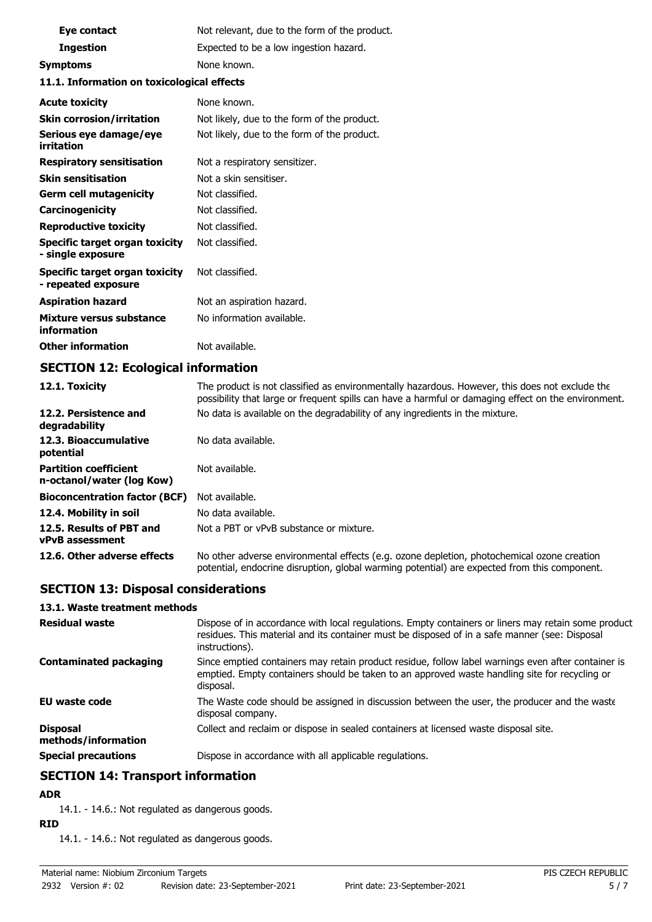| Eye contact                                                | Not relevant, due to the form of the product. |
|------------------------------------------------------------|-----------------------------------------------|
| <b>Ingestion</b>                                           | Expected to be a low ingestion hazard.        |
| <b>Symptoms</b>                                            | None known.                                   |
| 11.1. Information on toxicological effects                 |                                               |
| <b>Acute toxicity</b>                                      | None known.                                   |
| <b>Skin corrosion/irritation</b>                           | Not likely, due to the form of the product.   |
| Serious eye damage/eye<br>irritation                       | Not likely, due to the form of the product.   |
| <b>Respiratory sensitisation</b>                           | Not a respiratory sensitizer.                 |
| <b>Skin sensitisation</b>                                  | Not a skin sensitiser.                        |
| <b>Germ cell mutagenicity</b>                              | Not classified.                               |
| Carcinogenicity                                            | Not classified.                               |
| <b>Reproductive toxicity</b>                               | Not classified.                               |
| <b>Specific target organ toxicity</b><br>- single exposure | Not classified.                               |
| Specific target organ toxicity<br>- repeated exposure      | Not classified.                               |
| <b>Aspiration hazard</b>                                   | Not an aspiration hazard.                     |
| Mixture versus substance<br>information                    | No information available.                     |
| <b>Other information</b>                                   | Not available.                                |

# **SECTION 12: Ecological information**

| 12.1. Toxicity                                            | The product is not classified as environmentally hazardous. However, this does not exclude the<br>possibility that large or frequent spills can have a harmful or damaging effect on the environment. |
|-----------------------------------------------------------|-------------------------------------------------------------------------------------------------------------------------------------------------------------------------------------------------------|
| 12.2. Persistence and<br>degradability                    | No data is available on the degradability of any ingredients in the mixture.                                                                                                                          |
| 12.3. Bioaccumulative<br>potential                        | No data available.                                                                                                                                                                                    |
| <b>Partition coefficient</b><br>n-octanol/water (log Kow) | Not available.                                                                                                                                                                                        |
| <b>Bioconcentration factor (BCF)</b>                      | Not available.                                                                                                                                                                                        |
| 12.4. Mobility in soil                                    | No data available.                                                                                                                                                                                    |
| 12.5. Results of PBT and<br>vPvB assessment               | Not a PBT or vPvB substance or mixture.                                                                                                                                                               |
| 12.6. Other adverse effects                               | No other adverse environmental effects (e.g. ozone depletion, photochemical ozone creation<br>potential, endocrine disruption, global warming potential) are expected from this component.            |

# **SECTION 13: Disposal considerations**

#### **13.1. Waste treatment methods**

| <b>Residual waste</b>                  | Dispose of in accordance with local regulations. Empty containers or liners may retain some product<br>residues. This material and its container must be disposed of in a safe manner (see: Disposal<br>instructions). |
|----------------------------------------|------------------------------------------------------------------------------------------------------------------------------------------------------------------------------------------------------------------------|
| <b>Contaminated packaging</b>          | Since emptied containers may retain product residue, follow label warnings even after container is<br>emptied. Empty containers should be taken to an approved waste handling site for recycling or<br>disposal.       |
| <b>EU waste code</b>                   | The Waste code should be assigned in discussion between the user, the producer and the waste<br>disposal company.                                                                                                      |
| <b>Disposal</b><br>methods/information | Collect and reclaim or dispose in sealed containers at licensed waste disposal site.                                                                                                                                   |
| <b>Special precautions</b>             | Dispose in accordance with all applicable regulations.                                                                                                                                                                 |

## **SECTION 14: Transport information**

### **ADR**

14.1. - 14.6.: Not regulated as dangerous goods.

### **RID**

14.1. - 14.6.: Not regulated as dangerous goods.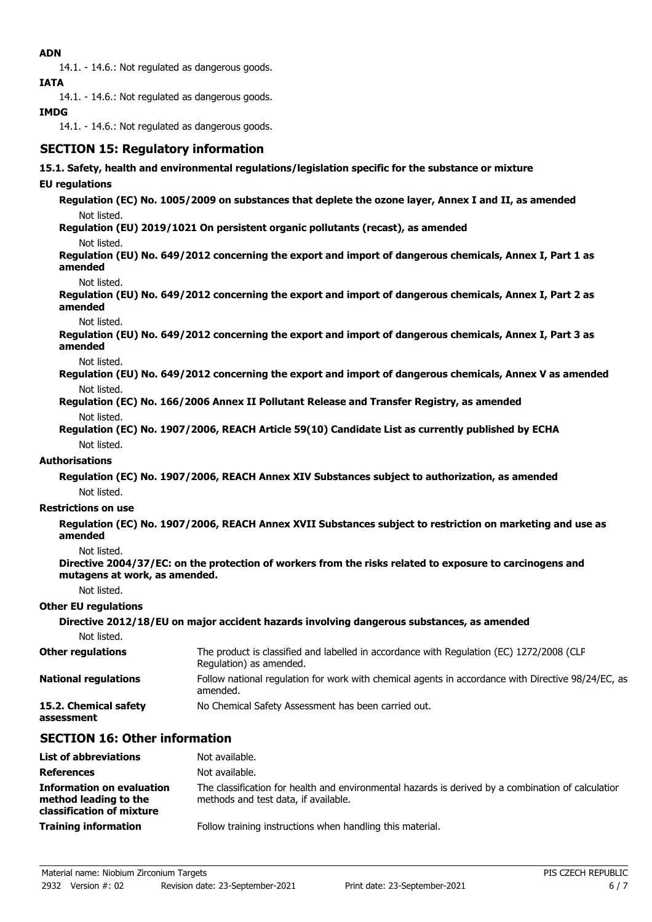### **ADN**

14.1. - 14.6.: Not regulated as dangerous goods.

**IATA**

14.1. - 14.6.: Not regulated as dangerous goods.

### **IMDG**

14.1. - 14.6.: Not regulated as dangerous goods.

# **SECTION 15: Regulatory information**

#### **15.1. Safety, health and environmental regulations/legislation specific for the substance or mixture**

### **EU regulations**

**Regulation (EC) No. 1005/2009 on substances that deplete the ozone layer, Annex I and II, as amended** Not listed.

**Regulation (EU) 2019/1021 On persistent organic pollutants (recast), as amended**

Not listed.

**Regulation (EU) No. 649/2012 concerning the export and import of dangerous chemicals, Annex I, Part 1 as amended**

Not listed.

**Regulation (EU) No. 649/2012 concerning the export and import of dangerous chemicals, Annex I, Part 2 as amended**

Not listed.

**Regulation (EU) No. 649/2012 concerning the export and import of dangerous chemicals, Annex I, Part 3 as amended**

Not listed.

**Regulation (EU) No. 649/2012 concerning the export and import of dangerous chemicals, Annex V as amended** Not listed.

**Regulation (EC) No. 166/2006 Annex II Pollutant Release and Transfer Registry, as amended** Not listed.

**Regulation (EC) No. 1907/2006, REACH Article 59(10) Candidate List as currently published by ECHA** Not listed.

#### **Authorisations**

**Regulation (EC) No. 1907/2006, REACH Annex XIV Substances subject to authorization, as amended** Not listed.

#### **Restrictions on use**

**Regulation (EC) No. 1907/2006, REACH Annex XVII Substances subject to restriction on marketing and use as amended**

Not listed.

**Directive 2004/37/EC: on the protection of workers from the risks related to exposure to carcinogens and mutagens at work, as amended.**

Not listed.

#### **Other EU regulations**

|                                     | Directive 2012/18/EU on major accident hazards involving dangerous substances, as amended                           |
|-------------------------------------|---------------------------------------------------------------------------------------------------------------------|
| Not listed.                         |                                                                                                                     |
| <b>Other regulations</b>            | The product is classified and labelled in accordance with Regulation (EC) 1272/2008 (CLP<br>Regulation) as amended. |
| <b>National regulations</b>         | Follow national regulation for work with chemical agents in accordance with Directive 98/24/EC, as<br>amended.      |
| 15.2. Chemical safety<br>assessment | No Chemical Safety Assessment has been carried out.                                                                 |

### **SECTION 16: Other information**

| <b>List of abbreviations</b>                                                           | Not available.                                                                                                                             |
|----------------------------------------------------------------------------------------|--------------------------------------------------------------------------------------------------------------------------------------------|
| <b>References</b>                                                                      | Not available.                                                                                                                             |
| <b>Information on evaluation</b><br>method leading to the<br>classification of mixture | The classification for health and environmental hazards is derived by a combination of calculation<br>methods and test data, if available. |
| <b>Training information</b>                                                            | Follow training instructions when handling this material.                                                                                  |